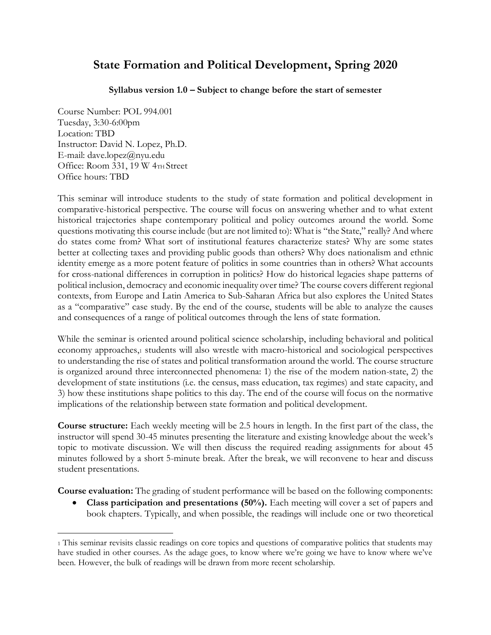# **State Formation and Political Development, Spring 2020**

**Syllabus version 1.0 – Subject to change before the start of semester**

Course Number: POL 994.001 Tuesday, 3:30-6:00pm Location: TBD Instructor: David N. Lopez, Ph.D. E-mail: dave.lopez@nyu.edu Office: Room 331, 19 W 4TH Street Office hours: TBD

This seminar will introduce students to the study of state formation and political development in comparative-historical perspective. The course will focus on answering whether and to what extent historical trajectories shape contemporary political and policy outcomes around the world. Some questions motivating this course include (but are not limited to): What is "the State," really? And where do states come from? What sort of institutional features characterize states? Why are some states better at collecting taxes and providing public goods than others? Why does nationalism and ethnic identity emerge as a more potent feature of politics in some countries than in others? What accounts for cross-national differences in corruption in politics? How do historical legacies shape patterns of political inclusion, democracy and economic inequality over time? The course covers different regional contexts, from Europe and Latin America to Sub-Saharan Africa but also explores the United States as a "comparative" case study. By the end of the course, students will be able to analyze the causes and consequences of a range of political outcomes through the lens of state formation.

While the seminar is oriented around political science scholarship, including behavioral and political economy approaches,<sup>1</sup> students will also wrestle with macro-historical and sociological perspectives to understanding the rise of states and political transformation around the world. The course structure is organized around three interconnected phenomena: 1) the rise of the modern nation-state, 2) the development of state institutions (i.e. the census, mass education, tax regimes) and state capacity, and 3) how these institutions shape politics to this day. The end of the course will focus on the normative implications of the relationship between state formation and political development.

**Course structure:** Each weekly meeting will be 2.5 hours in length. In the first part of the class, the instructor will spend 30-45 minutes presenting the literature and existing knowledge about the week's topic to motivate discussion. We will then discuss the required reading assignments for about 45 minutes followed by a short 5-minute break. After the break, we will reconvene to hear and discuss student presentations.

**Course evaluation:** The grading of student performance will be based on the following components:

• **Class participation and presentations (50%).** Each meeting will cover a set of papers and book chapters. Typically, and when possible, the readings will include one or two theoretical

<sup>1</sup> This seminar revisits classic readings on core topics and questions of comparative politics that students may have studied in other courses. As the adage goes, to know where we're going we have to know where we've been. However, the bulk of readings will be drawn from more recent scholarship.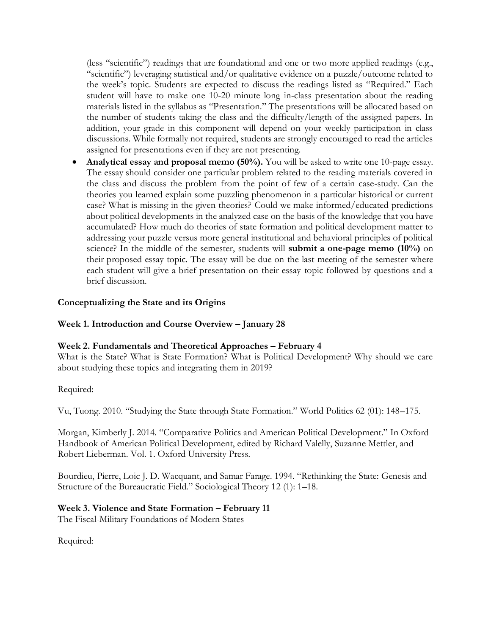(less "scientific") readings that are foundational and one or two more applied readings (e.g., "scientific") leveraging statistical and/or qualitative evidence on a puzzle/outcome related to the week's topic. Students are expected to discuss the readings listed as "Required." Each student will have to make one 10-20 minute long in-class presentation about the reading materials listed in the syllabus as "Presentation." The presentations will be allocated based on the number of students taking the class and the difficulty/length of the assigned papers. In addition, your grade in this component will depend on your weekly participation in class discussions. While formally not required, students are strongly encouraged to read the articles assigned for presentations even if they are not presenting.

• **Analytical essay and proposal memo (50%).** You will be asked to write one 10-page essay. The essay should consider one particular problem related to the reading materials covered in the class and discuss the problem from the point of few of a certain case-study. Can the theories you learned explain some puzzling phenomenon in a particular historical or current case? What is missing in the given theories? Could we make informed/educated predictions about political developments in the analyzed case on the basis of the knowledge that you have accumulated? How much do theories of state formation and political development matter to addressing your puzzle versus more general institutional and behavioral principles of political science? In the middle of the semester, students will **submit a one-page memo (10%)** on their proposed essay topic. The essay will be due on the last meeting of the semester where each student will give a brief presentation on their essay topic followed by questions and a brief discussion.

## **Conceptualizing the State and its Origins**

#### **Week 1. Introduction and Course Overview – January 28**

#### **Week 2. Fundamentals and Theoretical Approaches – February 4**

What is the State? What is State Formation? What is Political Development? Why should we care about studying these topics and integrating them in 2019?

#### Required:

Vu, Tuong. 2010. "Studying the State through State Formation." World Politics 62 (01): 148–175.

Morgan, Kimberly J. 2014. "Comparative Politics and American Political Development." In Oxford Handbook of American Political Development, edited by Richard Valelly, Suzanne Mettler, and Robert Lieberman. Vol. 1. Oxford University Press.

Bourdieu, Pierre, Loic J. D. Wacquant, and Samar Farage. 1994. "Rethinking the State: Genesis and Structure of the Bureaucratic Field." Sociological Theory 12 (1): 1–18.

#### **Week 3. Violence and State Formation – February 11**

The Fiscal-Military Foundations of Modern States

Required: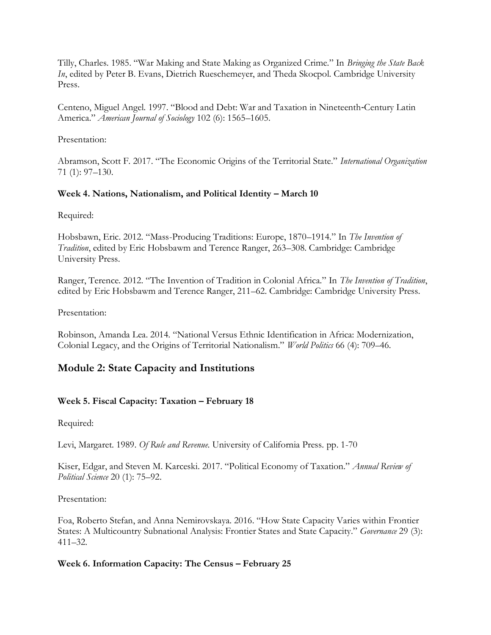Tilly, Charles. 1985. "War Making and State Making as Organized Crime." In *Bringing the State Back In*, edited by Peter B. Evans, Dietrich Rueschemeyer, and Theda Skocpol. Cambridge University Press.

Centeno, Miguel Angel. 1997. "Blood and Debt: War and Taxation in Nineteenth‐Century Latin America." *American Journal of Sociology* 102 (6): 1565–1605.

Presentation:

Abramson, Scott F. 2017. "The Economic Origins of the Territorial State." *International Organization* 71 (1): 97–130.

## **Week 4. Nations, Nationalism, and Political Identity – March 10**

Required:

Hobsbawn, Eric. 2012. "Mass-Producing Traditions: Europe, 1870–1914." In *The Invention of Tradition*, edited by Eric Hobsbawm and Terence Ranger, 263–308. Cambridge: Cambridge University Press.

Ranger, Terence. 2012. "The Invention of Tradition in Colonial Africa." In *The Invention of Tradition*, edited by Eric Hobsbawm and Terence Ranger, 211–62. Cambridge: Cambridge University Press.

Presentation:

Robinson, Amanda Lea. 2014. "National Versus Ethnic Identification in Africa: Modernization, Colonial Legacy, and the Origins of Territorial Nationalism." *World Politics* 66 (4): 709–46.

## **Module 2: State Capacity and Institutions**

## **Week 5. Fiscal Capacity: Taxation – February 18**

Required:

Levi, Margaret. 1989. *Of Rule and Revenue*. University of California Press. pp. 1-70

Kiser, Edgar, and Steven M. Karceski. 2017. "Political Economy of Taxation." *Annual Review of Political Science* 20 (1): 75–92.

Presentation:

Foa, Roberto Stefan, and Anna Nemirovskaya. 2016. "How State Capacity Varies within Frontier States: A Multicountry Subnational Analysis: Frontier States and State Capacity." *Governance* 29 (3): 411–32.

#### **Week 6. Information Capacity: The Census – February 25**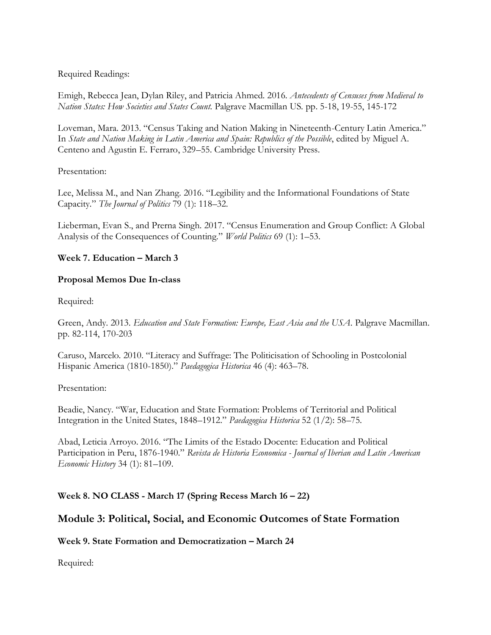Required Readings:

Emigh, Rebecca Jean, Dylan Riley, and Patricia Ahmed. 2016. *Antecedents of Censuses from Medieval to Nation States: How Societies and States Count*. Palgrave Macmillan US. pp. 5-18, 19-55, 145-172

Loveman, Mara. 2013. "Census Taking and Nation Making in Nineteenth-Century Latin America." In *State and Nation Making in Latin America and Spain: Republics of the Possible*, edited by Miguel A. Centeno and Agustin E. Ferraro, 329–55. Cambridge University Press.

#### Presentation:

Lee, Melissa M., and Nan Zhang. 2016. "Legibility and the Informational Foundations of State Capacity." *The Journal of Politics* 79 (1): 118–32.

Lieberman, Evan S., and Prerna Singh. 2017. "Census Enumeration and Group Conflict: A Global Analysis of the Consequences of Counting." *World Politics* 69 (1): 1–53.

#### **Week 7. Education – March 3**

#### **Proposal Memos Due In-class**

Required:

Green, Andy. 2013. *Education and State Formation: Europe, East Asia and the USA*. Palgrave Macmillan. pp. 82-114, 170-203

Caruso, Marcelo. 2010. "Literacy and Suffrage: The Politicisation of Schooling in Postcolonial Hispanic America (1810-1850)." *Paedagogica Historica* 46 (4): 463–78.

Presentation:

Beadie, Nancy. "War, Education and State Formation: Problems of Territorial and Political Integration in the United States, 1848–1912." *Paedagogica Historica* 52 (1/2): 58–75.

Abad, Leticia Arroyo. 2016. "The Limits of the Estado Docente: Education and Political Participation in Peru, 1876-1940." *Revista de Historia Economica - Journal of Iberian and Latin American Economic History* 34 (1): 81–109.

## **Week 8. NO CLASS - March 17 (Spring Recess March 16 – 22)**

## **Module 3: Political, Social, and Economic Outcomes of State Formation**

#### **Week 9. State Formation and Democratization – March 24**

Required: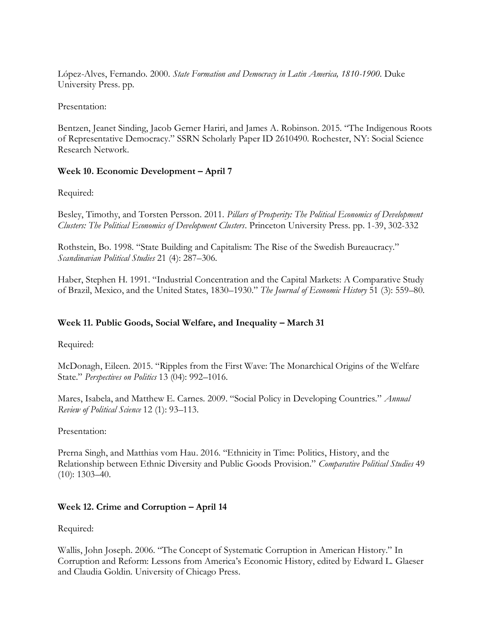López-Alves, Fernando. 2000. *State Formation and Democracy in Latin America, 1810-1900*. Duke University Press. pp.

Presentation:

Bentzen, Jeanet Sinding, Jacob Gerner Hariri, and James A. Robinson. 2015. "The Indigenous Roots of Representative Democracy." SSRN Scholarly Paper ID 2610490. Rochester, NY: Social Science Research Network.

## **Week 10. Economic Development – April 7**

Required:

Besley, Timothy, and Torsten Persson. 2011. *Pillars of Prosperity: The Political Economics of Development Clusters: The Political Economics of Development Clusters*. Princeton University Press. pp. 1-39, 302-332

Rothstein, Bo. 1998. "State Building and Capitalism: The Rise of the Swedish Bureaucracy." *Scandinavian Political Studies* 21 (4): 287–306.

Haber, Stephen H. 1991. "Industrial Concentration and the Capital Markets: A Comparative Study of Brazil, Mexico, and the United States, 1830–1930." *The Journal of Economic History* 51 (3): 559–80.

## **Week 11. Public Goods, Social Welfare, and Inequality – March 31**

Required:

McDonagh, Eileen. 2015. "Ripples from the First Wave: The Monarchical Origins of the Welfare State." *Perspectives on Politics* 13 (04): 992–1016.

Mares, Isabela, and Matthew E. Carnes. 2009. "Social Policy in Developing Countries." *Annual Review of Political Science* 12 (1): 93–113.

Presentation:

Prerna Singh, and Matthias vom Hau. 2016. "Ethnicity in Time: Politics, History, and the Relationship between Ethnic Diversity and Public Goods Provision." *Comparative Political Studies* 49 (10): 1303–40.

## **Week 12. Crime and Corruption – April 14**

Required:

Wallis, John Joseph. 2006. "The Concept of Systematic Corruption in American History." In Corruption and Reform: Lessons from America's Economic History, edited by Edward L. Glaeser and Claudia Goldin. University of Chicago Press.